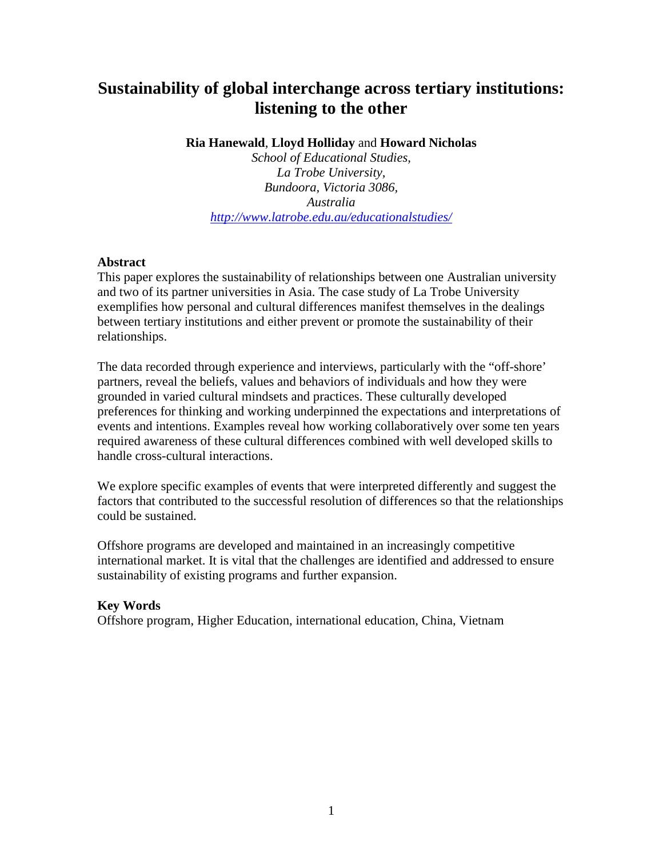# **Sustainability of global interchange across tertiary institutions: listening to the other**

**Ria Hanewald**, **Lloyd Holliday** and **Howard Nicholas**

*School of Educational Studies, La Trobe University, Bundoora, Victoria 3086, Australia <http://www.latrobe.edu.au/educationalstudies/>*

# **Abstract**

This paper explores the sustainability of relationships between one Australian university and two of its partner universities in Asia. The case study of La Trobe University exemplifies how personal and cultural differences manifest themselves in the dealings between tertiary institutions and either prevent or promote the sustainability of their relationships.

The data recorded through experience and interviews, particularly with the "off-shore' partners, reveal the beliefs, values and behaviors of individuals and how they were grounded in varied cultural mindsets and practices. These culturally developed preferences for thinking and working underpinned the expectations and interpretations of events and intentions. Examples reveal how working collaboratively over some ten years required awareness of these cultural differences combined with well developed skills to handle cross-cultural interactions.

We explore specific examples of events that were interpreted differently and suggest the factors that contributed to the successful resolution of differences so that the relationships could be sustained.

Offshore programs are developed and maintained in an increasingly competitive international market. It is vital that the challenges are identified and addressed to ensure sustainability of existing programs and further expansion.

# **Key Words**

Offshore program, Higher Education, international education, China, Vietnam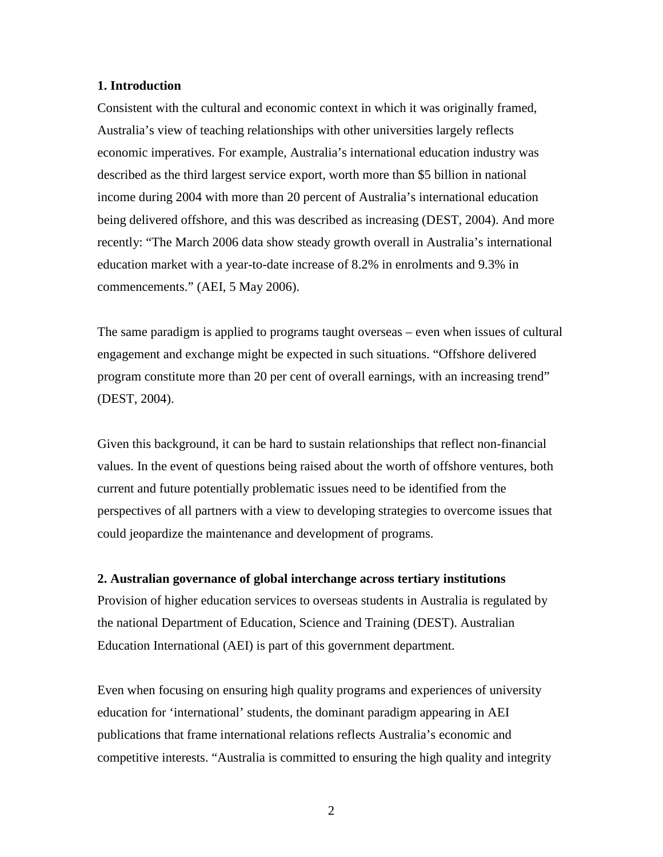## **1. Introduction**

Consistent with the cultural and economic context in which it was originally framed, Australia's view of teaching relationships with other universities largely reflects economic imperatives. For example, Australia's international education industry was described as the third largest service export, worth more than \$5 billion in national income during 2004 with more than 20 percent of Australia's international education being delivered offshore, and this was described as increasing (DEST, 2004). And more recently: "The March 2006 data show steady growth overall in Australia's international education market with a year-to-date increase of 8.2% in enrolments and 9.3% in commencements." (AEI, 5 May 2006).

The same paradigm is applied to programs taught overseas – even when issues of cultural engagement and exchange might be expected in such situations. "Offshore delivered program constitute more than 20 per cent of overall earnings, with an increasing trend" (DEST, 2004).

Given this background, it can be hard to sustain relationships that reflect non-financial values. In the event of questions being raised about the worth of offshore ventures, both current and future potentially problematic issues need to be identified from the perspectives of all partners with a view to developing strategies to overcome issues that could jeopardize the maintenance and development of programs.

#### **2. Australian governance of global interchange across tertiary institutions**

Provision of higher education services to overseas students in Australia is regulated by the national Department of Education, Science and Training (DEST). Australian Education International (AEI) is part of this government department.

Even when focusing on ensuring high quality programs and experiences of university education for 'international' students, the dominant paradigm appearing in AEI publications that frame international relations reflects Australia's economic and competitive interests. "Australia is committed to ensuring the high quality and integrity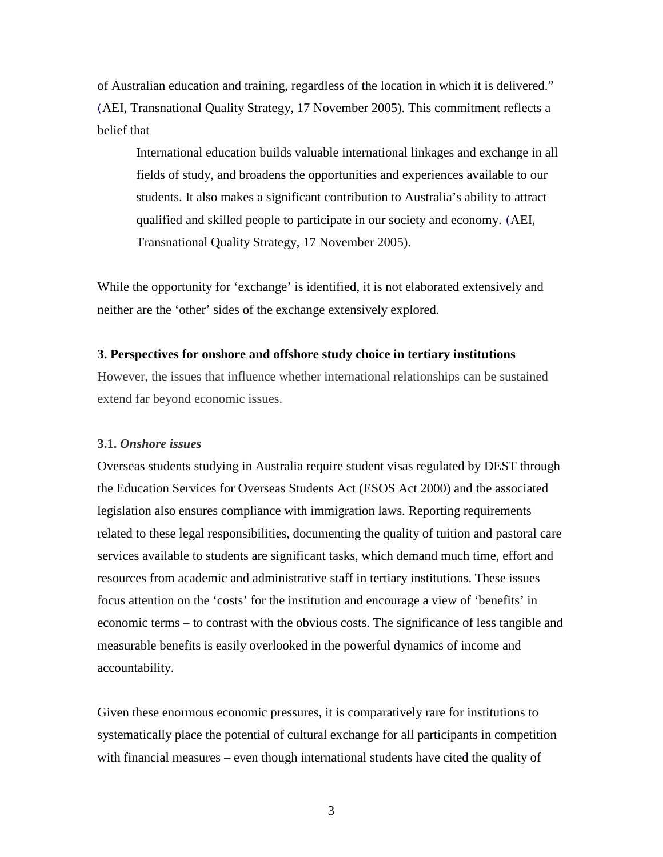of Australian education and training, regardless of the location in which it is delivered." (AEI, Transnational Quality Strategy, 17 November 2005). This commitment reflects a belief that

International education builds valuable international linkages and exchange in all fields of study, and broadens the opportunities and experiences available to our students. It also makes a significant contribution to Australia's ability to attract qualified and skilled people to participate in our society and economy. (AEI, Transnational Quality Strategy, 17 November 2005).

While the opportunity for 'exchange' is identified, it is not elaborated extensively and neither are the 'other' sides of the exchange extensively explored.

#### **3. Perspectives for onshore and offshore study choice in tertiary institutions**

However, the issues that influence whether international relationships can be sustained extend far beyond economic issues.

#### **3.1.** *Onshore issues*

Overseas students studying in Australia require student visas regulated by DEST through the Education Services for Overseas Students Act (ESOS Act 2000) and the associated legislation also ensures compliance with immigration laws. Reporting requirements related to these legal responsibilities, documenting the quality of tuition and pastoral care services available to students are significant tasks, which demand much time, effort and resources from academic and administrative staff in tertiary institutions. These issues focus attention on the 'costs' for the institution and encourage a view of 'benefits' in economic terms – to contrast with the obvious costs. The significance of less tangible and measurable benefits is easily overlooked in the powerful dynamics of income and accountability.

Given these enormous economic pressures, it is comparatively rare for institutions to systematically place the potential of cultural exchange for all participants in competition with financial measures – even though international students have cited the quality of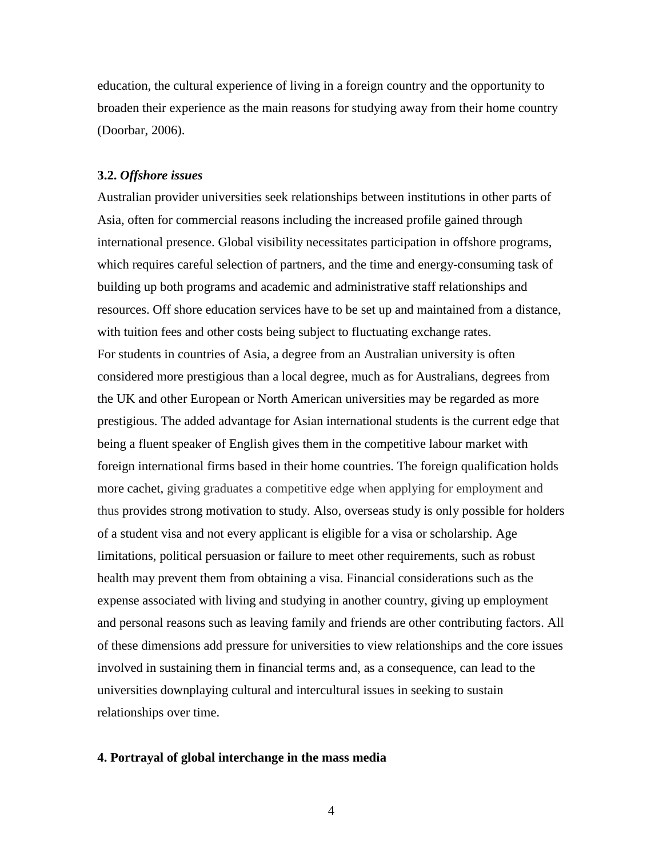education, the cultural experience of living in a foreign country and the opportunity to broaden their experience as the main reasons for studying away from their home country (Doorbar, 2006).

## **3.2.** *Offshore issues*

Australian provider universities seek relationships between institutions in other parts of Asia, often for commercial reasons including the increased profile gained through international presence. Global visibility necessitates participation in offshore programs, which requires careful selection of partners, and the time and energy-consuming task of building up both programs and academic and administrative staff relationships and resources. Off shore education services have to be set up and maintained from a distance, with tuition fees and other costs being subject to fluctuating exchange rates. For students in countries of Asia, a degree from an Australian university is often considered more prestigious than a local degree, much as for Australians, degrees from the UK and other European or North American universities may be regarded as more prestigious. The added advantage for Asian international students is the current edge that being a fluent speaker of English gives them in the competitive labour market with foreign international firms based in their home countries. The foreign qualification holds more cachet, giving graduates a competitive edge when applying for employment and thus provides strong motivation to study. Also, overseas study is only possible for holders of a student visa and not every applicant is eligible for a visa or scholarship. Age limitations, political persuasion or failure to meet other requirements, such as robust health may prevent them from obtaining a visa. Financial considerations such as the expense associated with living and studying in another country, giving up employment and personal reasons such as leaving family and friends are other contributing factors. All of these dimensions add pressure for universities to view relationships and the core issues involved in sustaining them in financial terms and, as a consequence, can lead to the universities downplaying cultural and intercultural issues in seeking to sustain relationships over time.

#### **4. Portrayal of global interchange in the mass media**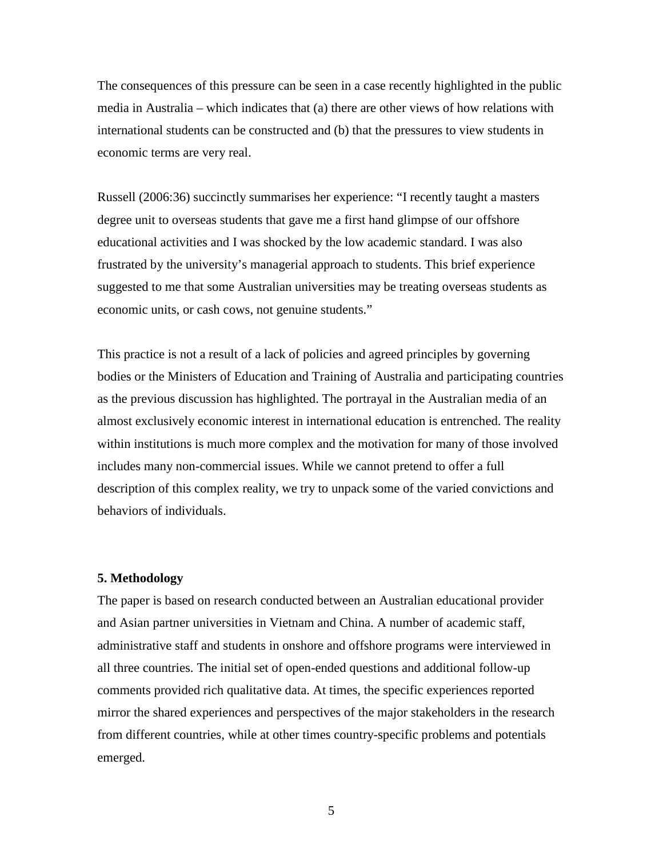The consequences of this pressure can be seen in a case recently highlighted in the public media in Australia – which indicates that (a) there are other views of how relations with international students can be constructed and (b) that the pressures to view students in economic terms are very real.

Russell (2006:36) succinctly summarises her experience: "I recently taught a masters degree unit to overseas students that gave me a first hand glimpse of our offshore educational activities and I was shocked by the low academic standard. I was also frustrated by the university's managerial approach to students. This brief experience suggested to me that some Australian universities may be treating overseas students as economic units, or cash cows, not genuine students."

This practice is not a result of a lack of policies and agreed principles by governing bodies or the Ministers of Education and Training of Australia and participating countries as the previous discussion has highlighted. The portrayal in the Australian media of an almost exclusively economic interest in international education is entrenched. The reality within institutions is much more complex and the motivation for many of those involved includes many non-commercial issues. While we cannot pretend to offer a full description of this complex reality, we try to unpack some of the varied convictions and behaviors of individuals.

## **5. Methodology**

The paper is based on research conducted between an Australian educational provider and Asian partner universities in Vietnam and China. A number of academic staff, administrative staff and students in onshore and offshore programs were interviewed in all three countries. The initial set of open-ended questions and additional follow-up comments provided rich qualitative data. At times, the specific experiences reported mirror the shared experiences and perspectives of the major stakeholders in the research from different countries, while at other times country-specific problems and potentials emerged.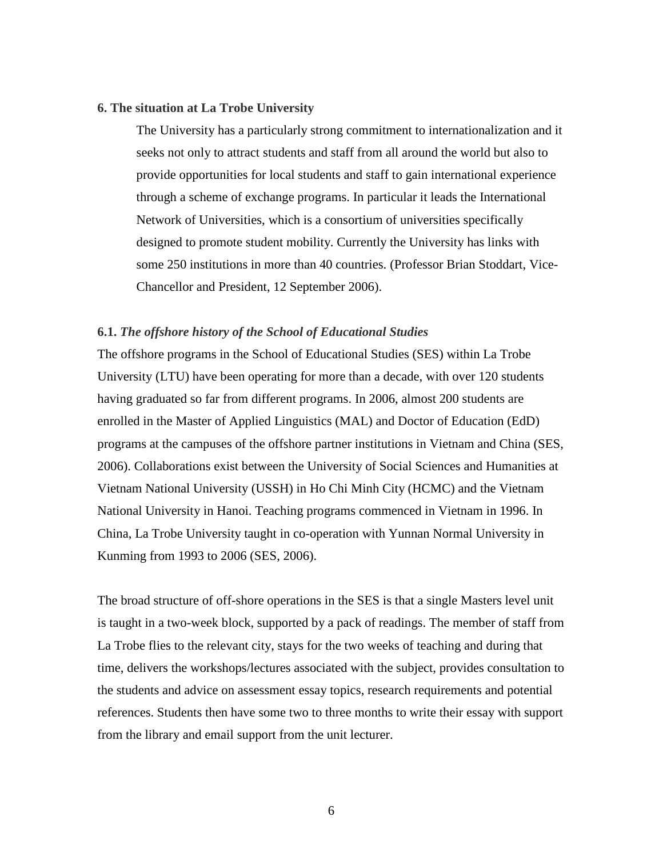#### **6. The situation at La Trobe University**

The University has a particularly strong commitment to internationalization and it seeks not only to attract students and staff from all around the world but also to provide opportunities for local students and staff to gain international experience through a scheme of exchange programs. In particular it leads the International Network of Universities, which is a consortium of universities specifically designed to promote student mobility. Currently the University has links with some 250 institutions in more than 40 countries. (Professor Brian Stoddart, Vice-Chancellor and President, 12 September 2006).

#### **6.1.** *The offshore history of the School of Educational Studies*

The offshore programs in the School of Educational Studies (SES) within La Trobe University (LTU) have been operating for more than a decade, with over 120 students having graduated so far from different programs. In 2006, almost 200 students are enrolled in the Master of Applied Linguistics (MAL) and Doctor of Education (EdD) programs at the campuses of the offshore partner institutions in Vietnam and China (SES, 2006). Collaborations exist between the University of Social Sciences and Humanities at Vietnam National University (USSH) in Ho Chi Minh City (HCMC) and the Vietnam National University in Hanoi. Teaching programs commenced in Vietnam in 1996. In China, La Trobe University taught in co-operation with Yunnan Normal University in Kunming from 1993 to 2006 (SES, 2006).

The broad structure of off-shore operations in the SES is that a single Masters level unit is taught in a two-week block, supported by a pack of readings. The member of staff from La Trobe flies to the relevant city, stays for the two weeks of teaching and during that time, delivers the workshops/lectures associated with the subject, provides consultation to the students and advice on assessment essay topics, research requirements and potential references. Students then have some two to three months to write their essay with support from the library and email support from the unit lecturer.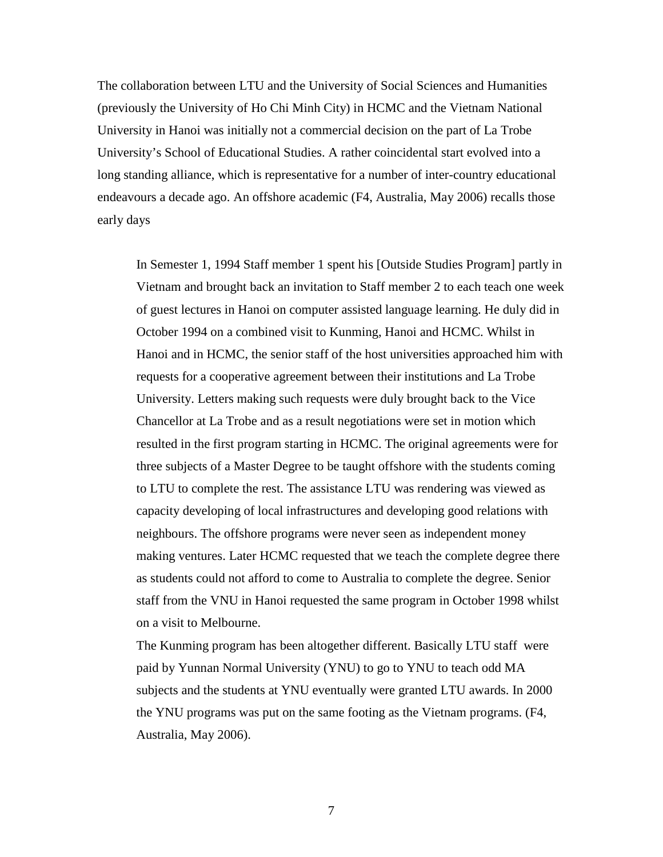The collaboration between LTU and the University of Social Sciences and Humanities (previously the University of Ho Chi Minh City) in HCMC and the Vietnam National University in Hanoi was initially not a commercial decision on the part of La Trobe University's School of Educational Studies. A rather coincidental start evolved into a long standing alliance, which is representative for a number of inter-country educational endeavours a decade ago. An offshore academic (F4, Australia, May 2006) recalls those early days

In Semester 1, 1994 Staff member 1 spent his [Outside Studies Program] partly in Vietnam and brought back an invitation to Staff member 2 to each teach one week of guest lectures in Hanoi on computer assisted language learning. He duly did in October 1994 on a combined visit to Kunming, Hanoi and HCMC. Whilst in Hanoi and in HCMC, the senior staff of the host universities approached him with requests for a cooperative agreement between their institutions and La Trobe University. Letters making such requests were duly brought back to the Vice Chancellor at La Trobe and as a result negotiations were set in motion which resulted in the first program starting in HCMC. The original agreements were for three subjects of a Master Degree to be taught offshore with the students coming to LTU to complete the rest. The assistance LTU was rendering was viewed as capacity developing of local infrastructures and developing good relations with neighbours. The offshore programs were never seen as independent money making ventures. Later HCMC requested that we teach the complete degree there as students could not afford to come to Australia to complete the degree. Senior staff from the VNU in Hanoi requested the same program in October 1998 whilst on a visit to Melbourne.

The Kunming program has been altogether different. Basically LTU staff were paid by Yunnan Normal University (YNU) to go to YNU to teach odd MA subjects and the students at YNU eventually were granted LTU awards. In 2000 the YNU programs was put on the same footing as the Vietnam programs. (F4, Australia, May 2006).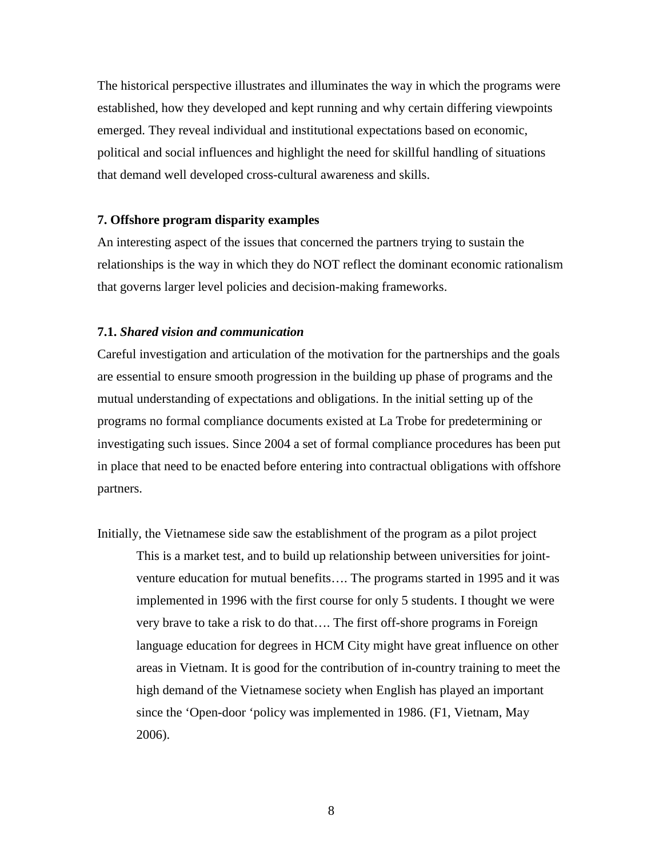The historical perspective illustrates and illuminates the way in which the programs were established, how they developed and kept running and why certain differing viewpoints emerged. They reveal individual and institutional expectations based on economic, political and social influences and highlight the need for skillful handling of situations that demand well developed cross-cultural awareness and skills.

## **7. Offshore program disparity examples**

An interesting aspect of the issues that concerned the partners trying to sustain the relationships is the way in which they do NOT reflect the dominant economic rationalism that governs larger level policies and decision-making frameworks.

#### **7.1.** *Shared vision and communication*

Careful investigation and articulation of the motivation for the partnerships and the goals are essential to ensure smooth progression in the building up phase of programs and the mutual understanding of expectations and obligations. In the initial setting up of the programs no formal compliance documents existed at La Trobe for predetermining or investigating such issues. Since 2004 a set of formal compliance procedures has been put in place that need to be enacted before entering into contractual obligations with offshore partners.

Initially, the Vietnamese side saw the establishment of the program as a pilot project This is a market test, and to build up relationship between universities for jointventure education for mutual benefits…. The programs started in 1995 and it was implemented in 1996 with the first course for only 5 students. I thought we were very brave to take a risk to do that…. The first off-shore programs in Foreign language education for degrees in HCM City might have great influence on other areas in Vietnam. It is good for the contribution of in-country training to meet the high demand of the Vietnamese society when English has played an important since the 'Open-door 'policy was implemented in 1986. (F1, Vietnam, May 2006).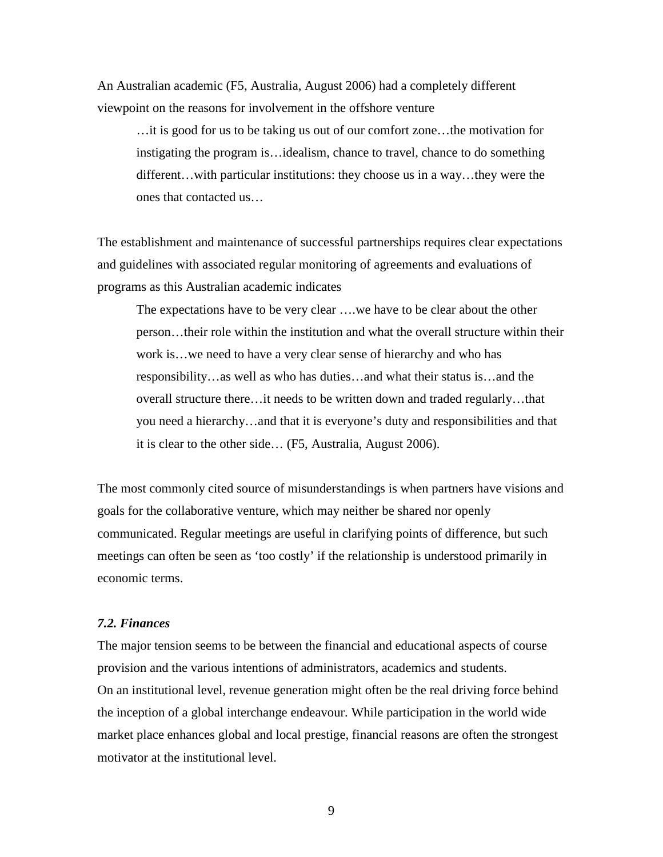An Australian academic (F5, Australia, August 2006) had a completely different viewpoint on the reasons for involvement in the offshore venture

…it is good for us to be taking us out of our comfort zone…the motivation for instigating the program is…idealism, chance to travel, chance to do something different…with particular institutions: they choose us in a way…they were the ones that contacted us…

The establishment and maintenance of successful partnerships requires clear expectations and guidelines with associated regular monitoring of agreements and evaluations of programs as this Australian academic indicates

The expectations have to be very clear ….we have to be clear about the other person…their role within the institution and what the overall structure within their work is…we need to have a very clear sense of hierarchy and who has responsibility…as well as who has duties…and what their status is…and the overall structure there…it needs to be written down and traded regularly…that you need a hierarchy…and that it is everyone's duty and responsibilities and that it is clear to the other side… (F5, Australia, August 2006).

The most commonly cited source of misunderstandings is when partners have visions and goals for the collaborative venture, which may neither be shared nor openly communicated. Regular meetings are useful in clarifying points of difference, but such meetings can often be seen as 'too costly' if the relationship is understood primarily in economic terms.

#### *7.2. Finances*

The major tension seems to be between the financial and educational aspects of course provision and the various intentions of administrators, academics and students. On an institutional level, revenue generation might often be the real driving force behind the inception of a global interchange endeavour. While participation in the world wide market place enhances global and local prestige, financial reasons are often the strongest motivator at the institutional level.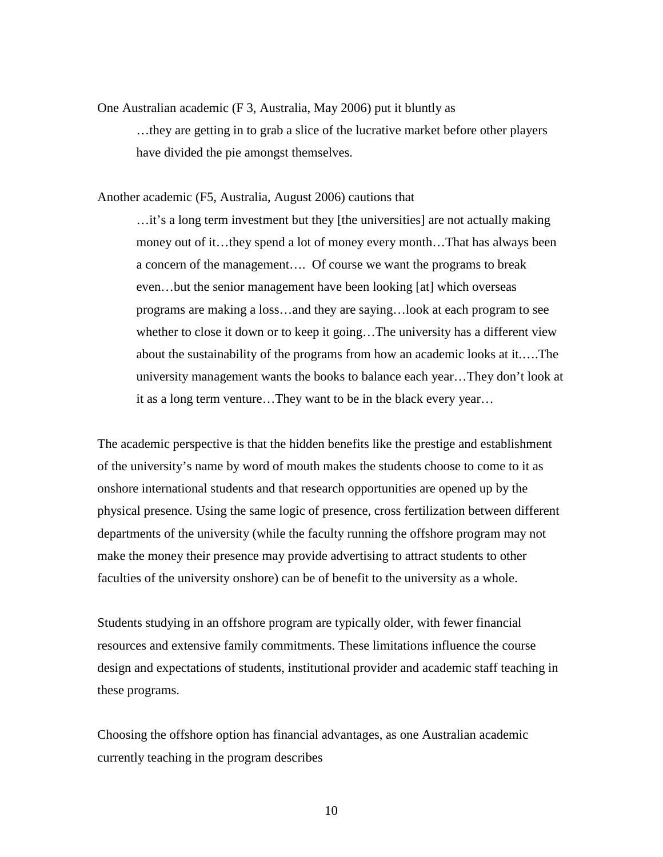One Australian academic (F 3, Australia, May 2006) put it bluntly as …they are getting in to grab a slice of the lucrative market before other players have divided the pie amongst themselves.

Another academic (F5, Australia, August 2006) cautions that

…it's a long term investment but they [the universities] are not actually making money out of it…they spend a lot of money every month…That has always been a concern of the management…. Of course we want the programs to break even…but the senior management have been looking [at] which overseas programs are making a loss…and they are saying…look at each program to see whether to close it down or to keep it going…The university has a different view about the sustainability of the programs from how an academic looks at it.….The university management wants the books to balance each year…They don't look at it as a long term venture…They want to be in the black every year…

The academic perspective is that the hidden benefits like the prestige and establishment of the university's name by word of mouth makes the students choose to come to it as onshore international students and that research opportunities are opened up by the physical presence. Using the same logic of presence, cross fertilization between different departments of the university (while the faculty running the offshore program may not make the money their presence may provide advertising to attract students to other faculties of the university onshore) can be of benefit to the university as a whole.

Students studying in an offshore program are typically older, with fewer financial resources and extensive family commitments. These limitations influence the course design and expectations of students, institutional provider and academic staff teaching in these programs.

Choosing the offshore option has financial advantages, as one Australian academic currently teaching in the program describes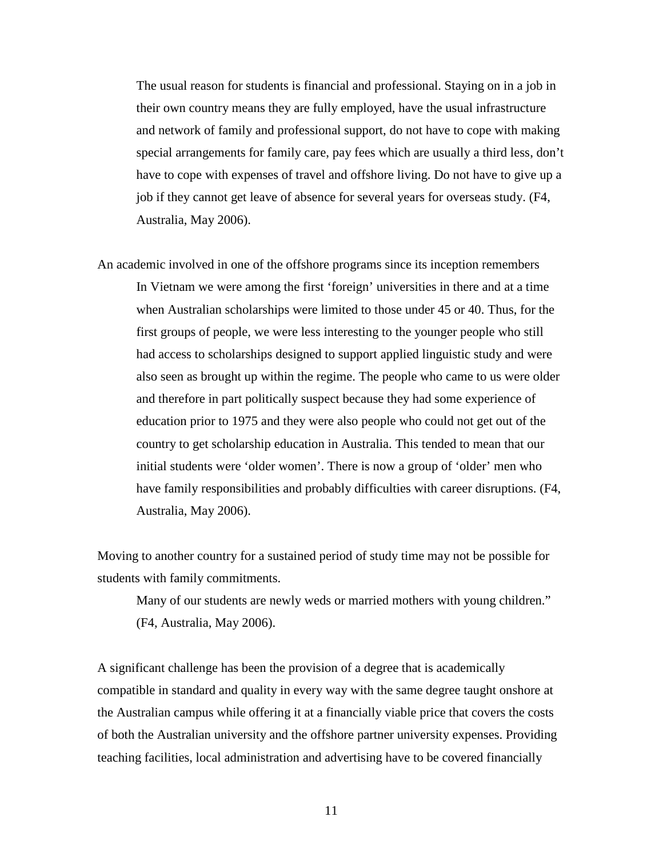The usual reason for students is financial and professional. Staying on in a job in their own country means they are fully employed, have the usual infrastructure and network of family and professional support, do not have to cope with making special arrangements for family care, pay fees which are usually a third less, don't have to cope with expenses of travel and offshore living. Do not have to give up a job if they cannot get leave of absence for several years for overseas study. (F4, Australia, May 2006).

An academic involved in one of the offshore programs since its inception remembers In Vietnam we were among the first 'foreign' universities in there and at a time when Australian scholarships were limited to those under 45 or 40. Thus, for the first groups of people, we were less interesting to the younger people who still had access to scholarships designed to support applied linguistic study and were also seen as brought up within the regime. The people who came to us were older and therefore in part politically suspect because they had some experience of education prior to 1975 and they were also people who could not get out of the country to get scholarship education in Australia. This tended to mean that our initial students were 'older women'. There is now a group of 'older' men who have family responsibilities and probably difficulties with career disruptions. (F4, Australia, May 2006).

Moving to another country for a sustained period of study time may not be possible for students with family commitments.

Many of our students are newly weds or married mothers with young children." (F4, Australia, May 2006).

A significant challenge has been the provision of a degree that is academically compatible in standard and quality in every way with the same degree taught onshore at the Australian campus while offering it at a financially viable price that covers the costs of both the Australian university and the offshore partner university expenses. Providing teaching facilities, local administration and advertising have to be covered financially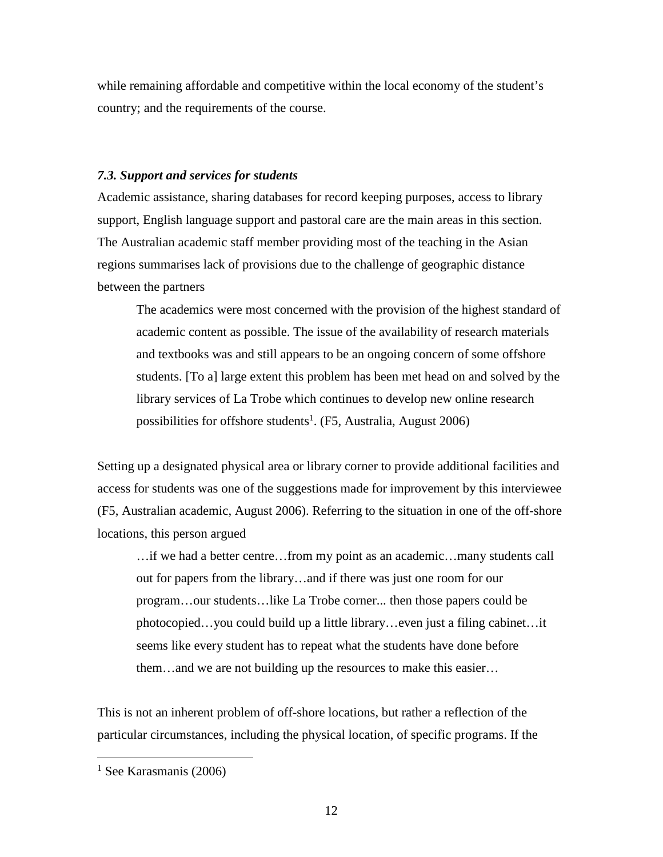while remaining affordable and competitive within the local economy of the student's country; and the requirements of the course.

## *7.3. Support and services for students*

Academic assistance, sharing databases for record keeping purposes, access to library support, English language support and pastoral care are the main areas in this section. The Australian academic staff member providing most of the teaching in the Asian regions summarises lack of provisions due to the challenge of geographic distance between the partners

The academics were most concerned with the provision of the highest standard of academic content as possible. The issue of the availability of research materials and textbooks was and still appears to be an ongoing concern of some offshore students. [To a] large extent this problem has been met head on and solved by the library services of La Trobe which continues to develop new online research possibilities for offshore students<sup>1</sup>. (F5, Australia, August 2006)

Setting up a designated physical area or library corner to provide additional facilities and access for students was one of the suggestions made for improvement by this interviewee (F5, Australian academic, August 2006). Referring to the situation in one of the off-shore locations, this person argued

…if we had a better centre…from my point as an academic…many students call out for papers from the library…and if there was just one room for our program…our students…like La Trobe corner... then those papers could be photocopied…you could build up a little library…even just a filing cabinet…it seems like every student has to repeat what the students have done before them…and we are not building up the resources to make this easier…

This is not an inherent problem of off-shore locations, but rather a reflection of the particular circumstances, including the physical location, of specific programs. If the

 $\overline{a}$ 

 $<sup>1</sup>$  See Karasmanis (2006)</sup>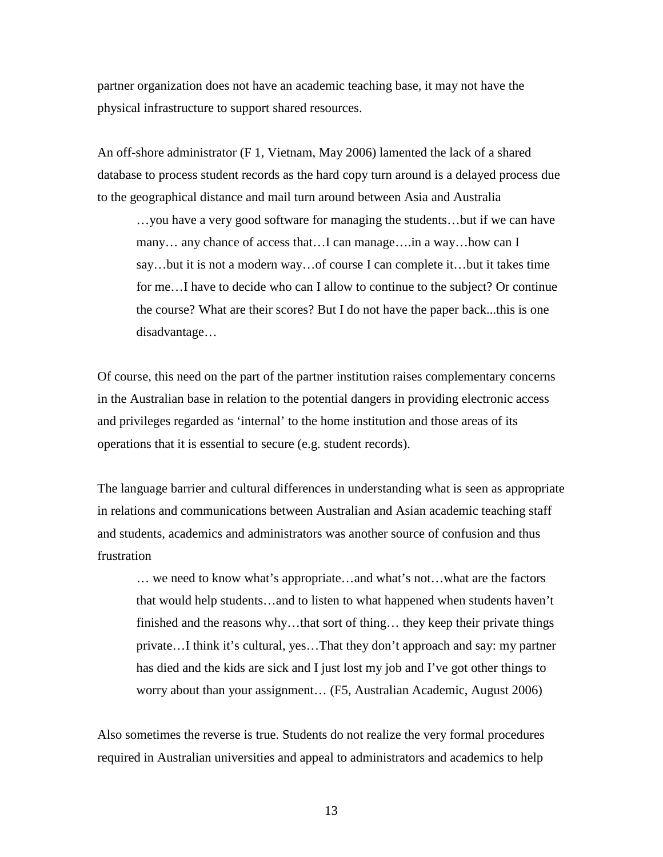partner organization does not have an academic teaching base, it may not have the physical infrastructure to support shared resources.

An off-shore administrator (F 1, Vietnam, May 2006) lamented the lack of a shared database to process student records as the hard copy turn around is a delayed process due to the geographical distance and mail turn around between Asia and Australia

…you have a very good software for managing the students…but if we can have many… any chance of access that…I can manage….in a way…how can I say…but it is not a modern way…of course I can complete it…but it takes time for me…I have to decide who can I allow to continue to the subject? Or continue the course? What are their scores? But I do not have the paper back...this is one disadvantage…

Of course, this need on the part of the partner institution raises complementary concerns in the Australian base in relation to the potential dangers in providing electronic access and privileges regarded as 'internal' to the home institution and those areas of its operations that it is essential to secure (e.g. student records).

The language barrier and cultural differences in understanding what is seen as appropriate in relations and communications between Australian and Asian academic teaching staff and students, academics and administrators was another source of confusion and thus frustration

… we need to know what's appropriate…and what's not…what are the factors that would help students…and to listen to what happened when students haven't finished and the reasons why...that sort of thing... they keep their private things private…I think it's cultural, yes…That they don't approach and say: my partner has died and the kids are sick and I just lost my job and I've got other things to worry about than your assignment… (F5, Australian Academic, August 2006)

Also sometimes the reverse is true. Students do not realize the very formal procedures required in Australian universities and appeal to administrators and academics to help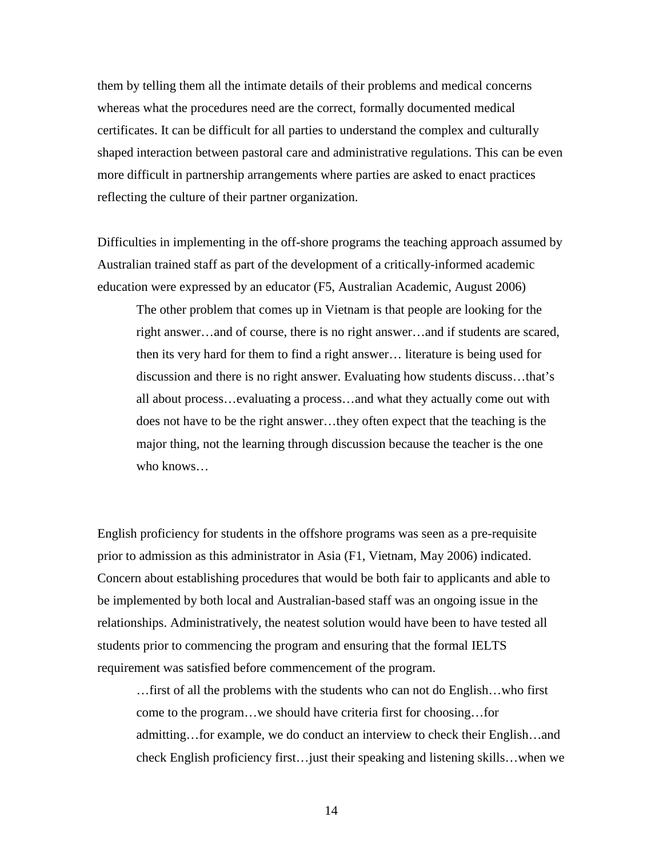them by telling them all the intimate details of their problems and medical concerns whereas what the procedures need are the correct, formally documented medical certificates. It can be difficult for all parties to understand the complex and culturally shaped interaction between pastoral care and administrative regulations. This can be even more difficult in partnership arrangements where parties are asked to enact practices reflecting the culture of their partner organization.

Difficulties in implementing in the off-shore programs the teaching approach assumed by Australian trained staff as part of the development of a critically-informed academic education were expressed by an educator (F5, Australian Academic, August 2006)

The other problem that comes up in Vietnam is that people are looking for the right answer…and of course, there is no right answer…and if students are scared, then its very hard for them to find a right answer… literature is being used for discussion and there is no right answer. Evaluating how students discuss…that's all about process…evaluating a process…and what they actually come out with does not have to be the right answer…they often expect that the teaching is the major thing, not the learning through discussion because the teacher is the one who knows…

English proficiency for students in the offshore programs was seen as a pre-requisite prior to admission as this administrator in Asia (F1, Vietnam, May 2006) indicated. Concern about establishing procedures that would be both fair to applicants and able to be implemented by both local and Australian-based staff was an ongoing issue in the relationships. Administratively, the neatest solution would have been to have tested all students prior to commencing the program and ensuring that the formal IELTS requirement was satisfied before commencement of the program.

…first of all the problems with the students who can not do English…who first come to the program…we should have criteria first for choosing…for admitting…for example, we do conduct an interview to check their English…and check English proficiency first…just their speaking and listening skills…when we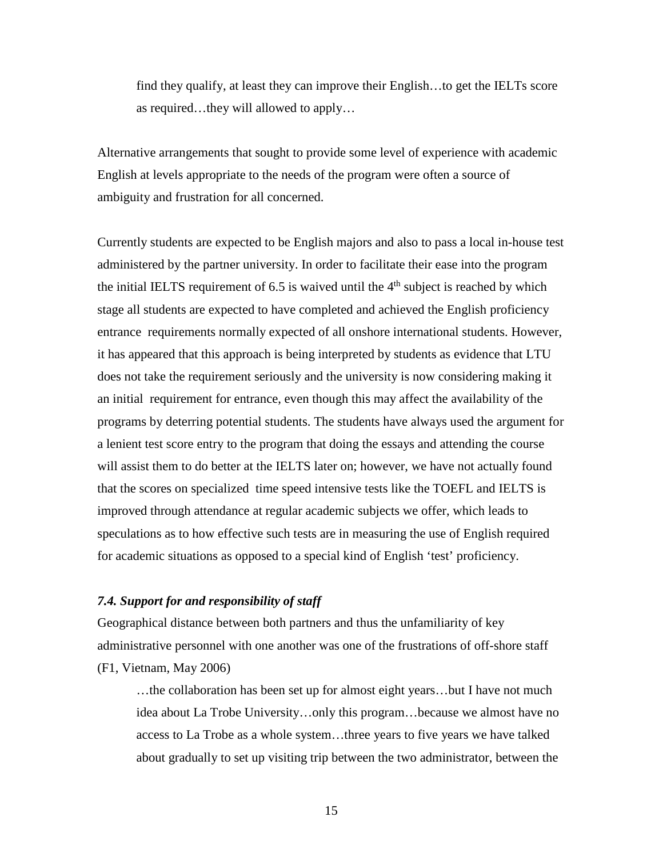find they qualify, at least they can improve their English…to get the IELTs score as required…they will allowed to apply…

Alternative arrangements that sought to provide some level of experience with academic English at levels appropriate to the needs of the program were often a source of ambiguity and frustration for all concerned.

Currently students are expected to be English majors and also to pass a local in-house test administered by the partner university. In order to facilitate their ease into the program the initial IELTS requirement of  $6.5$  is waived until the  $4<sup>th</sup>$  subject is reached by which stage all students are expected to have completed and achieved the English proficiency entrance requirements normally expected of all onshore international students. However, it has appeared that this approach is being interpreted by students as evidence that LTU does not take the requirement seriously and the university is now considering making it an initial requirement for entrance, even though this may affect the availability of the programs by deterring potential students. The students have always used the argument for a lenient test score entry to the program that doing the essays and attending the course will assist them to do better at the IELTS later on; however, we have not actually found that the scores on specialized time speed intensive tests like the TOEFL and IELTS is improved through attendance at regular academic subjects we offer, which leads to speculations as to how effective such tests are in measuring the use of English required for academic situations as opposed to a special kind of English 'test' proficiency.

# *7.4. Support for and responsibility of staff*

Geographical distance between both partners and thus the unfamiliarity of key administrative personnel with one another was one of the frustrations of off-shore staff (F1, Vietnam, May 2006)

…the collaboration has been set up for almost eight years…but I have not much idea about La Trobe University…only this program…because we almost have no access to La Trobe as a whole system…three years to five years we have talked about gradually to set up visiting trip between the two administrator, between the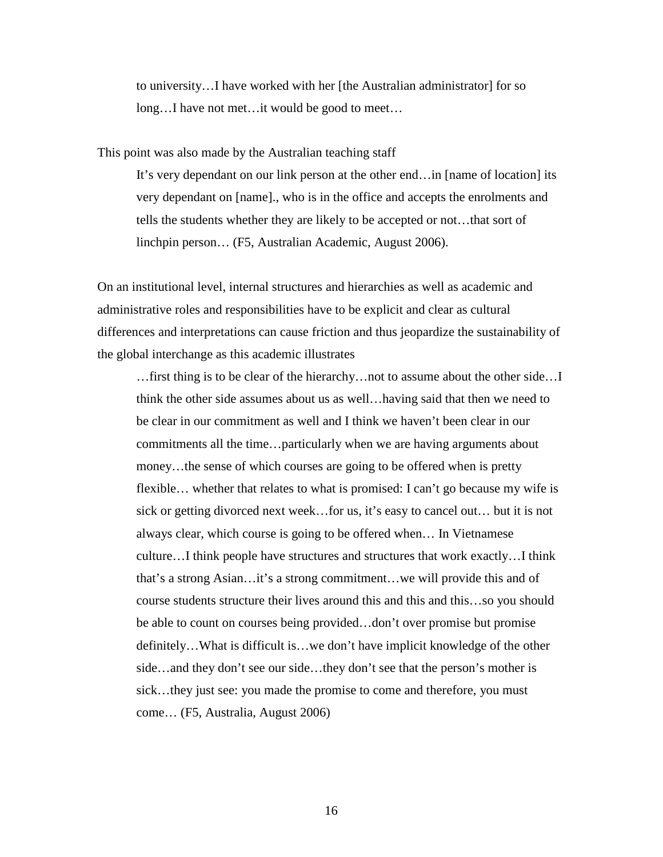to university…I have worked with her [the Australian administrator] for so long…I have not met…it would be good to meet…

This point was also made by the Australian teaching staff

It's very dependant on our link person at the other end…in [name of location] its very dependant on [name]., who is in the office and accepts the enrolments and tells the students whether they are likely to be accepted or not…that sort of linchpin person… (F5, Australian Academic, August 2006).

On an institutional level, internal structures and hierarchies as well as academic and administrative roles and responsibilities have to be explicit and clear as cultural differences and interpretations can cause friction and thus jeopardize the sustainability of the global interchange as this academic illustrates

…first thing is to be clear of the hierarchy…not to assume about the other side…I think the other side assumes about us as well…having said that then we need to be clear in our commitment as well and I think we haven't been clear in our commitments all the time…particularly when we are having arguments about money…the sense of which courses are going to be offered when is pretty flexible… whether that relates to what is promised: I can't go because my wife is sick or getting divorced next week…for us, it's easy to cancel out… but it is not always clear, which course is going to be offered when… In Vietnamese culture…I think people have structures and structures that work exactly…I think that's a strong Asian…it's a strong commitment…we will provide this and of course students structure their lives around this and this and this…so you should be able to count on courses being provided…don't over promise but promise definitely…What is difficult is…we don't have implicit knowledge of the other side…and they don't see our side…they don't see that the person's mother is sick…they just see: you made the promise to come and therefore, you must come… (F5, Australia, August 2006)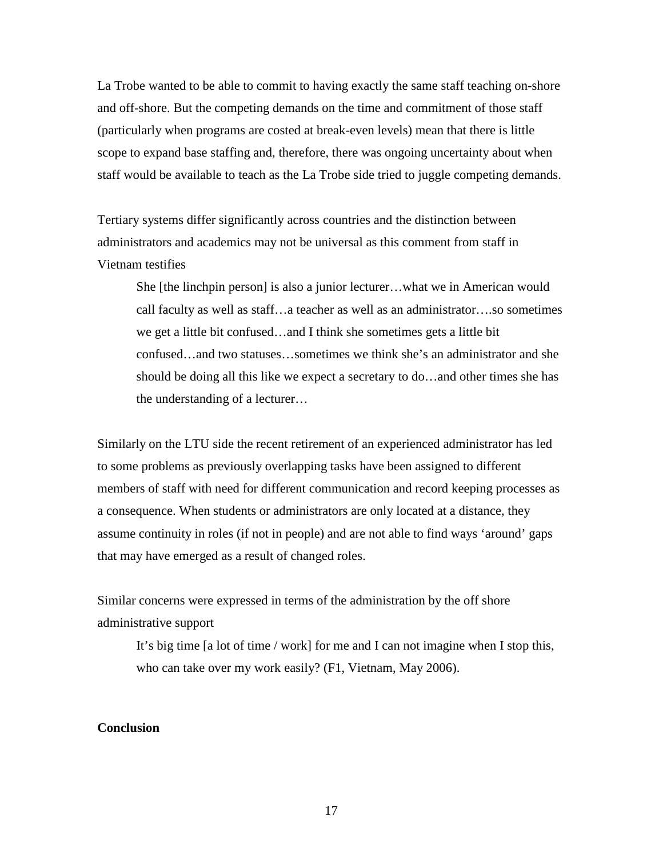La Trobe wanted to be able to commit to having exactly the same staff teaching on-shore and off-shore. But the competing demands on the time and commitment of those staff (particularly when programs are costed at break-even levels) mean that there is little scope to expand base staffing and, therefore, there was ongoing uncertainty about when staff would be available to teach as the La Trobe side tried to juggle competing demands.

Tertiary systems differ significantly across countries and the distinction between administrators and academics may not be universal as this comment from staff in Vietnam testifies

She [the linchpin person] is also a junior lecturer…what we in American would call faculty as well as staff…a teacher as well as an administrator….so sometimes we get a little bit confused…and I think she sometimes gets a little bit confused…and two statuses…sometimes we think she's an administrator and she should be doing all this like we expect a secretary to do…and other times she has the understanding of a lecturer…

Similarly on the LTU side the recent retirement of an experienced administrator has led to some problems as previously overlapping tasks have been assigned to different members of staff with need for different communication and record keeping processes as a consequence. When students or administrators are only located at a distance, they assume continuity in roles (if not in people) and are not able to find ways 'around' gaps that may have emerged as a result of changed roles.

Similar concerns were expressed in terms of the administration by the off shore administrative support

It's big time [a lot of time / work] for me and I can not imagine when I stop this, who can take over my work easily? (F1, Vietnam, May 2006).

# **Conclusion**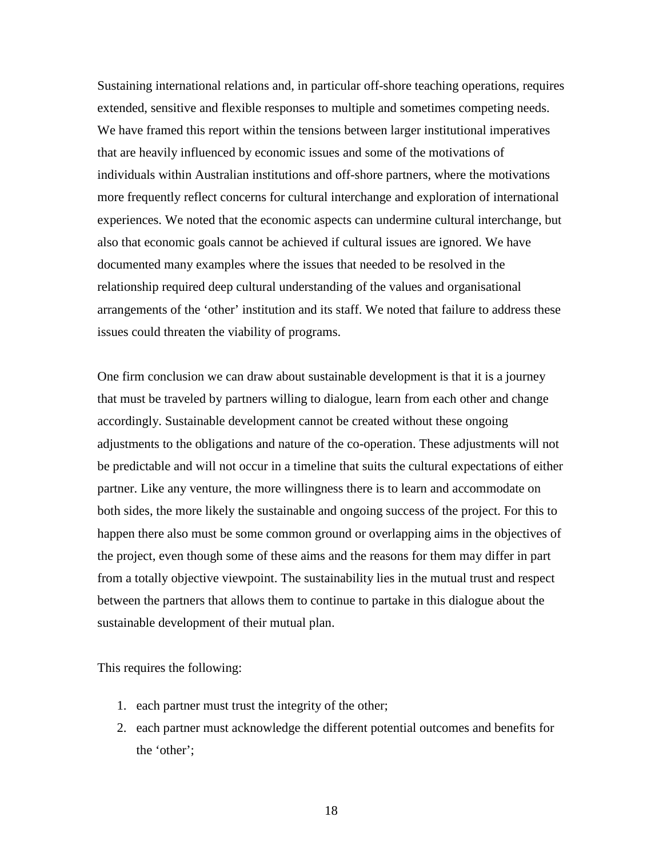Sustaining international relations and, in particular off-shore teaching operations, requires extended, sensitive and flexible responses to multiple and sometimes competing needs. We have framed this report within the tensions between larger institutional imperatives that are heavily influenced by economic issues and some of the motivations of individuals within Australian institutions and off-shore partners, where the motivations more frequently reflect concerns for cultural interchange and exploration of international experiences. We noted that the economic aspects can undermine cultural interchange, but also that economic goals cannot be achieved if cultural issues are ignored. We have documented many examples where the issues that needed to be resolved in the relationship required deep cultural understanding of the values and organisational arrangements of the 'other' institution and its staff. We noted that failure to address these issues could threaten the viability of programs.

One firm conclusion we can draw about sustainable development is that it is a journey that must be traveled by partners willing to dialogue, learn from each other and change accordingly. Sustainable development cannot be created without these ongoing adjustments to the obligations and nature of the co-operation. These adjustments will not be predictable and will not occur in a timeline that suits the cultural expectations of either partner. Like any venture, the more willingness there is to learn and accommodate on both sides, the more likely the sustainable and ongoing success of the project. For this to happen there also must be some common ground or overlapping aims in the objectives of the project, even though some of these aims and the reasons for them may differ in part from a totally objective viewpoint. The sustainability lies in the mutual trust and respect between the partners that allows them to continue to partake in this dialogue about the sustainable development of their mutual plan.

This requires the following:

- 1. each partner must trust the integrity of the other;
- 2. each partner must acknowledge the different potential outcomes and benefits for the 'other';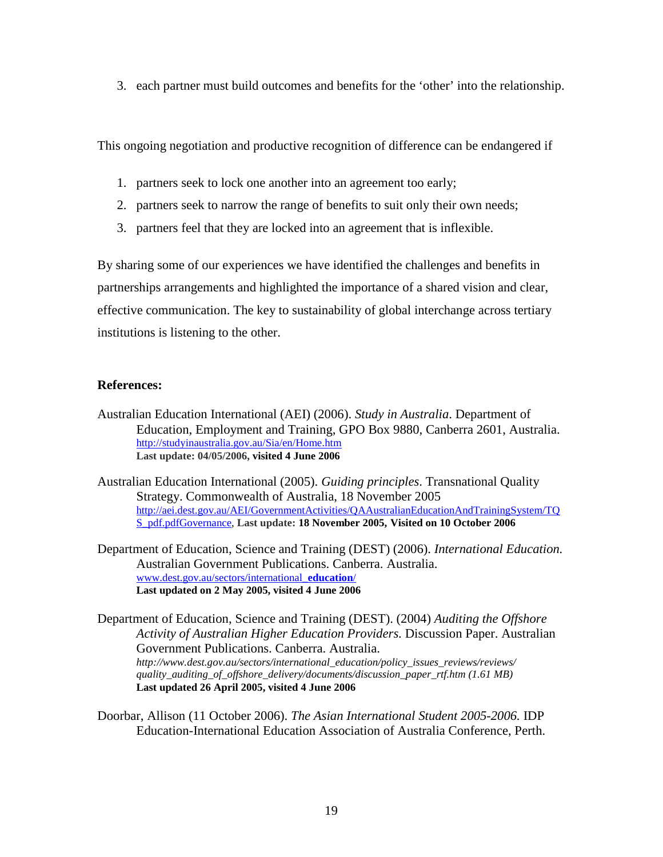3. each partner must build outcomes and benefits for the 'other' into the relationship.

This ongoing negotiation and productive recognition of difference can be endangered if

- 1. partners seek to lock one another into an agreement too early;
- 2. partners seek to narrow the range of benefits to suit only their own needs;
- 3. partners feel that they are locked into an agreement that is inflexible.

By sharing some of our experiences we have identified the challenges and benefits in partnerships arrangements and highlighted the importance of a shared vision and clear, effective communication. The key to sustainability of global interchange across tertiary institutions is listening to the other.

# **References:**

Australian Education International (AEI) (2006). *Study in Australia*. Department of Education, Employment and Training, GPO Box 9880, Canberra 2601, Australia. <http://studyinaustralia.gov.au/Sia/en/Home.htm> **Last update: 04/05/2006, visited 4 June 2006**

Australian Education International (2005). *Guiding principles*. Transnational Quality Strategy. Commonwealth of Australia, 18 November 2005 [http://aei.dest.gov.au/AEI/GovernmentActivities/QAAustralianEducationAndTrainingSystem/TQ](http://aei.dest.gov.au/AEI/GovernmentActivities/QAAustralianEducationAndTrainingSystem/TQS_pdf.pdfGovernance) [S\\_pdf.pdfGovernance,](http://aei.dest.gov.au/AEI/GovernmentActivities/QAAustralianEducationAndTrainingSystem/TQS_pdf.pdfGovernance) **Last update: 18 November 2005, Visited on 10 October 2006**

Department of Education, Science and Training (DEST) (2006). *International Education.* Australian Government Publications. Canberra. Australia. [www.dest.gov.au/sectors/international\\_](http://www.dest.gov.au/sectors/international_education/)**education**/ **Last updated on 2 May 2005, visited 4 June 2006**

Department of Education, Science and Training (DEST). (2004) *Auditing the Offshore Activity of Australian Higher Education Providers.* Discussion Paper. Australian Government Publications. Canberra. Australia. *http://www.dest.gov.au/sectors/international\_education/policy\_issues\_reviews/reviews/ quality\_auditing\_of\_offshore\_delivery/documents/discussion\_paper\_rtf.htm (1.61 MB)* **Last updated 26 April 2005, visited 4 June 2006**

Doorbar, Allison (11 October 2006). *The Asian International Student 2005-2006.* IDP Education-International Education Association of Australia Conference, Perth.